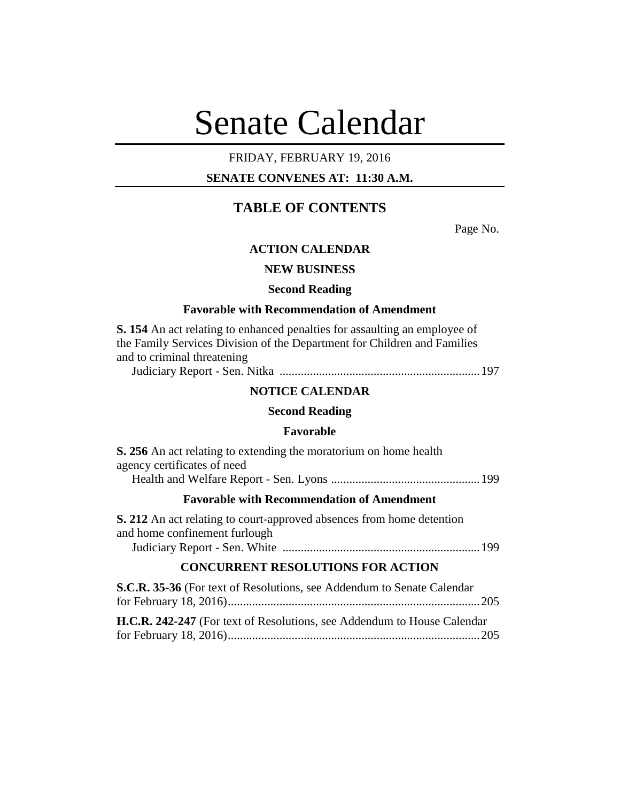# Senate Calendar

## FRIDAY, FEBRUARY 19, 2016

## **SENATE CONVENES AT: 11:30 A.M.**

## **TABLE OF CONTENTS**

Page No.

## **ACTION CALENDAR**

#### **NEW BUSINESS**

#### **Second Reading**

#### **Favorable with Recommendation of Amendment**

**S. 154** An act relating to enhanced penalties for assaulting an employee of the Family Services Division of the Department for Children and Families and to criminal threatening

Judiciary Report - Sen. Nitka ..................................................................197

#### **NOTICE CALENDAR**

#### **Second Reading**

#### **Favorable**

| <b>S. 256</b> An act relating to extending the moratorium on home health |  |
|--------------------------------------------------------------------------|--|
| agency certificates of need                                              |  |
|                                                                          |  |
| <b>Favorable with Recommendation of Amendment</b>                        |  |
| S 212. An act relating to court-approved absences from home detention    |  |

**S. 212** An act relating to court-approved absences from home detention and home confinement furlough Judiciary Report - Sen. White .................................................................199

## **CONCURRENT RESOLUTIONS FOR ACTION**

| S.C.R. 35-36 (For text of Resolutions, see Addendum to Senate Calendar         |  |
|--------------------------------------------------------------------------------|--|
|                                                                                |  |
| <b>H.C.R. 242-247</b> (For text of Resolutions, see Addendum to House Calendar |  |
|                                                                                |  |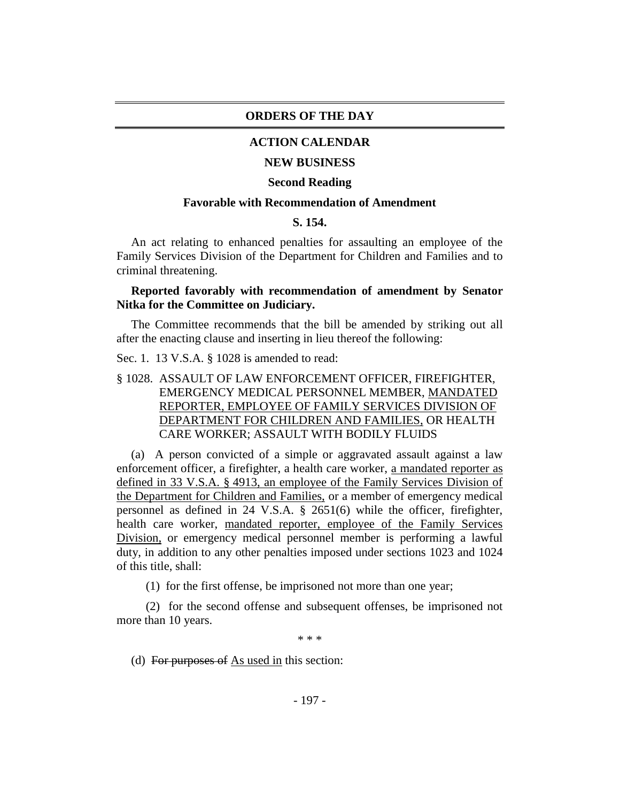#### **ORDERS OF THE DAY**

#### **ACTION CALENDAR**

#### **NEW BUSINESS**

#### **Second Reading**

#### **Favorable with Recommendation of Amendment**

#### **S. 154.**

An act relating to enhanced penalties for assaulting an employee of the Family Services Division of the Department for Children and Families and to criminal threatening.

#### **Reported favorably with recommendation of amendment by Senator Nitka for the Committee on Judiciary.**

The Committee recommends that the bill be amended by striking out all after the enacting clause and inserting in lieu thereof the following:

Sec. 1. 13 V.S.A. § 1028 is amended to read:

§ 1028. ASSAULT OF LAW ENFORCEMENT OFFICER, FIREFIGHTER, EMERGENCY MEDICAL PERSONNEL MEMBER, MANDATED REPORTER, EMPLOYEE OF FAMILY SERVICES DIVISION OF DEPARTMENT FOR CHILDREN AND FAMILIES, OR HEALTH CARE WORKER; ASSAULT WITH BODILY FLUIDS

(a) A person convicted of a simple or aggravated assault against a law enforcement officer, a firefighter, a health care worker, a mandated reporter as defined in 33 V.S.A. § 4913, an employee of the Family Services Division of the Department for Children and Families, or a member of emergency medical personnel as defined in 24 V.S.A. § 2651(6) while the officer, firefighter, health care worker, mandated reporter, employee of the Family Services Division, or emergency medical personnel member is performing a lawful duty, in addition to any other penalties imposed under sections 1023 and 1024 of this title, shall:

(1) for the first offense, be imprisoned not more than one year;

(2) for the second offense and subsequent offenses, be imprisoned not more than 10 years.

\* \* \*

(d) For purposes of  $\overline{As}$  used in this section: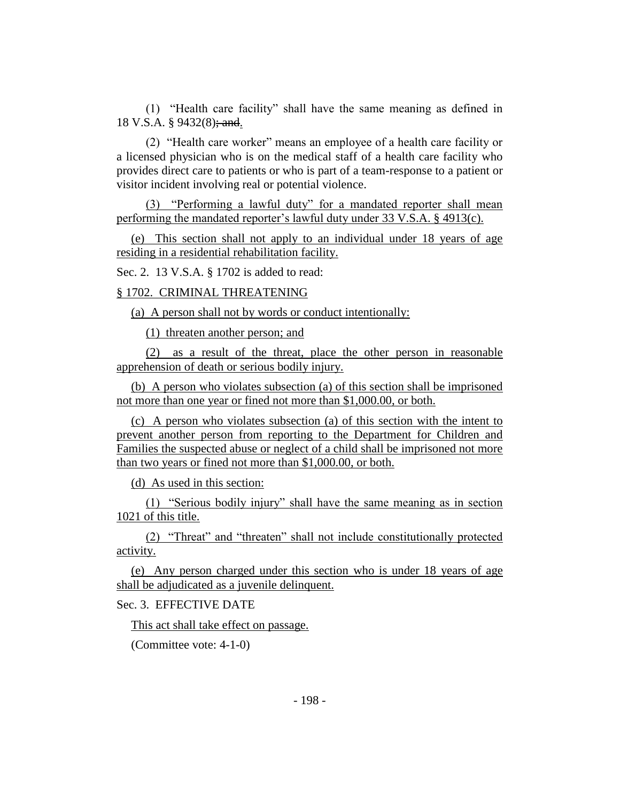(1) "Health care facility" shall have the same meaning as defined in 18 V.S.A. § 9432(8); and.

(2) "Health care worker" means an employee of a health care facility or a licensed physician who is on the medical staff of a health care facility who provides direct care to patients or who is part of a team-response to a patient or visitor incident involving real or potential violence.

(3) "Performing a lawful duty" for a mandated reporter shall mean performing the mandated reporter's lawful duty under 33 V.S.A. § 4913(c).

(e) This section shall not apply to an individual under 18 years of age residing in a residential rehabilitation facility.

Sec. 2. 13 V.S.A. § 1702 is added to read:

§ 1702. CRIMINAL THREATENING

(a) A person shall not by words or conduct intentionally:

(1) threaten another person; and

(2) as a result of the threat, place the other person in reasonable apprehension of death or serious bodily injury.

(b) A person who violates subsection (a) of this section shall be imprisoned not more than one year or fined not more than \$1,000.00, or both.

(c) A person who violates subsection (a) of this section with the intent to prevent another person from reporting to the Department for Children and Families the suspected abuse or neglect of a child shall be imprisoned not more than two years or fined not more than \$1,000.00, or both.

(d) As used in this section:

(1) "Serious bodily injury" shall have the same meaning as in section 1021 of this title.

(2) "Threat" and "threaten" shall not include constitutionally protected activity.

(e) Any person charged under this section who is under 18 years of age shall be adjudicated as a juvenile delinquent.

Sec. 3. EFFECTIVE DATE

This act shall take effect on passage.

(Committee vote: 4-1-0)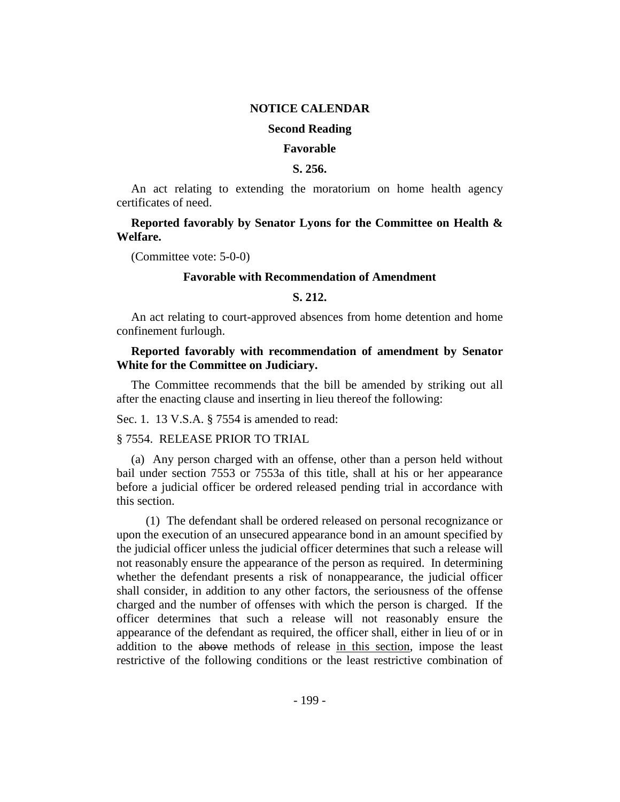#### **NOTICE CALENDAR**

#### **Second Reading**

#### **Favorable**

#### **S. 256.**

An act relating to extending the moratorium on home health agency certificates of need.

#### **Reported favorably by Senator Lyons for the Committee on Health & Welfare.**

(Committee vote: 5-0-0)

#### **Favorable with Recommendation of Amendment**

#### **S. 212.**

An act relating to court-approved absences from home detention and home confinement furlough.

#### **Reported favorably with recommendation of amendment by Senator White for the Committee on Judiciary.**

The Committee recommends that the bill be amended by striking out all after the enacting clause and inserting in lieu thereof the following:

Sec. 1. 13 V.S.A. § 7554 is amended to read:

#### § 7554. RELEASE PRIOR TO TRIAL

(a) Any person charged with an offense, other than a person held without bail under section 7553 or 7553a of this title, shall at his or her appearance before a judicial officer be ordered released pending trial in accordance with this section.

(1) The defendant shall be ordered released on personal recognizance or upon the execution of an unsecured appearance bond in an amount specified by the judicial officer unless the judicial officer determines that such a release will not reasonably ensure the appearance of the person as required. In determining whether the defendant presents a risk of nonappearance, the judicial officer shall consider, in addition to any other factors, the seriousness of the offense charged and the number of offenses with which the person is charged. If the officer determines that such a release will not reasonably ensure the appearance of the defendant as required, the officer shall, either in lieu of or in addition to the above methods of release in this section, impose the least restrictive of the following conditions or the least restrictive combination of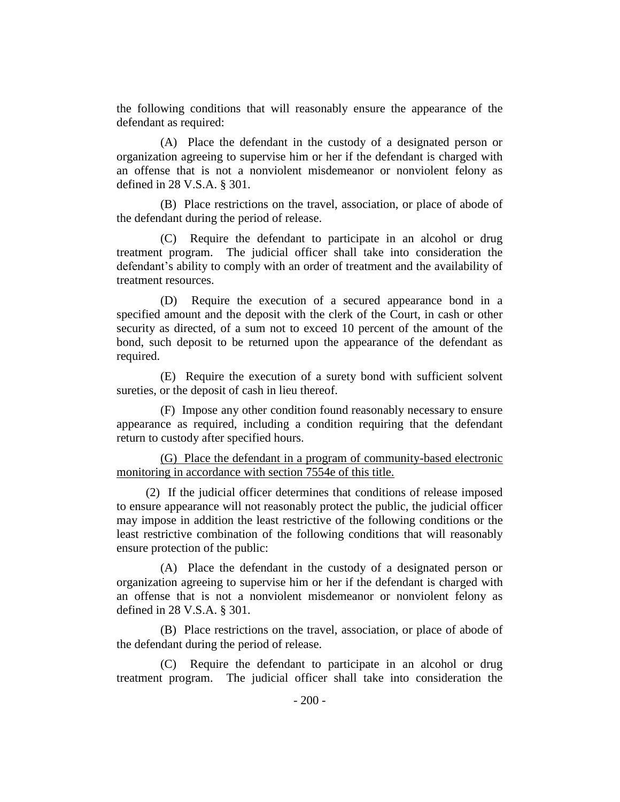the following conditions that will reasonably ensure the appearance of the defendant as required:

(A) Place the defendant in the custody of a designated person or organization agreeing to supervise him or her if the defendant is charged with an offense that is not a nonviolent misdemeanor or nonviolent felony as defined in 28 V.S.A. § 301.

(B) Place restrictions on the travel, association, or place of abode of the defendant during the period of release.

(C) Require the defendant to participate in an alcohol or drug treatment program. The judicial officer shall take into consideration the defendant's ability to comply with an order of treatment and the availability of treatment resources.

(D) Require the execution of a secured appearance bond in a specified amount and the deposit with the clerk of the Court, in cash or other security as directed, of a sum not to exceed 10 percent of the amount of the bond, such deposit to be returned upon the appearance of the defendant as required.

(E) Require the execution of a surety bond with sufficient solvent sureties, or the deposit of cash in lieu thereof.

(F) Impose any other condition found reasonably necessary to ensure appearance as required, including a condition requiring that the defendant return to custody after specified hours.

(G) Place the defendant in a program of community-based electronic monitoring in accordance with section 7554e of this title.

(2) If the judicial officer determines that conditions of release imposed to ensure appearance will not reasonably protect the public, the judicial officer may impose in addition the least restrictive of the following conditions or the least restrictive combination of the following conditions that will reasonably ensure protection of the public:

(A) Place the defendant in the custody of a designated person or organization agreeing to supervise him or her if the defendant is charged with an offense that is not a nonviolent misdemeanor or nonviolent felony as defined in 28 V.S.A. § 301.

(B) Place restrictions on the travel, association, or place of abode of the defendant during the period of release.

(C) Require the defendant to participate in an alcohol or drug treatment program. The judicial officer shall take into consideration the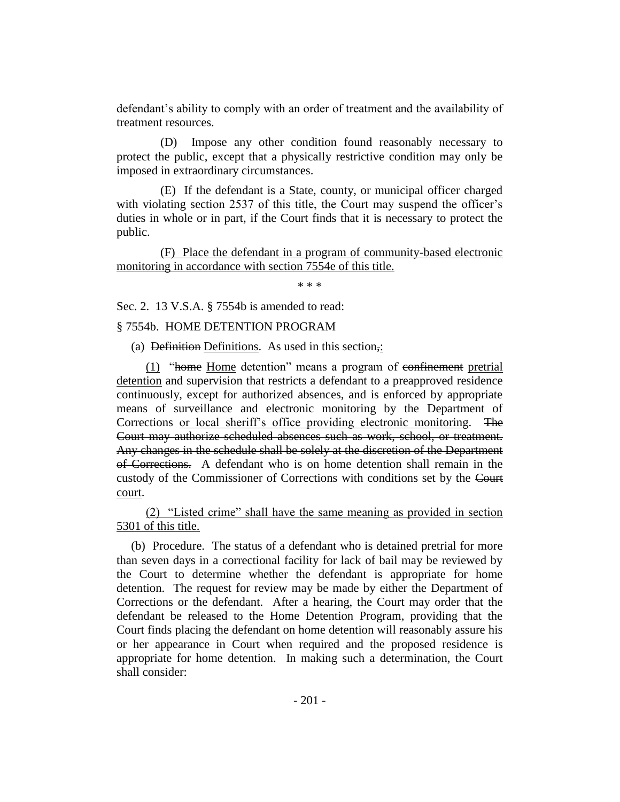defendant's ability to comply with an order of treatment and the availability of treatment resources.

(D) Impose any other condition found reasonably necessary to protect the public, except that a physically restrictive condition may only be imposed in extraordinary circumstances.

(E) If the defendant is a State, county, or municipal officer charged with violating section 2537 of this title, the Court may suspend the officer's duties in whole or in part, if the Court finds that it is necessary to protect the public.

(F) Place the defendant in a program of community-based electronic monitoring in accordance with section 7554e of this title.

\* \* \*

Sec. 2. 13 V.S.A. § 7554b is amended to read:

§ 7554b. HOME DETENTION PROGRAM

(a) Definition Definitions. As used in this section,:

(1) "home Home detention" means a program of confinement pretrial detention and supervision that restricts a defendant to a preapproved residence continuously, except for authorized absences, and is enforced by appropriate means of surveillance and electronic monitoring by the Department of Corrections or local sheriff's office providing electronic monitoring. The Court may authorize scheduled absences such as work, school, or treatment. Any changes in the schedule shall be solely at the discretion of the Department of Corrections. A defendant who is on home detention shall remain in the custody of the Commissioner of Corrections with conditions set by the Court court.

(2) "Listed crime" shall have the same meaning as provided in section 5301 of this title.

(b) Procedure. The status of a defendant who is detained pretrial for more than seven days in a correctional facility for lack of bail may be reviewed by the Court to determine whether the defendant is appropriate for home detention. The request for review may be made by either the Department of Corrections or the defendant. After a hearing, the Court may order that the defendant be released to the Home Detention Program, providing that the Court finds placing the defendant on home detention will reasonably assure his or her appearance in Court when required and the proposed residence is appropriate for home detention. In making such a determination, the Court shall consider: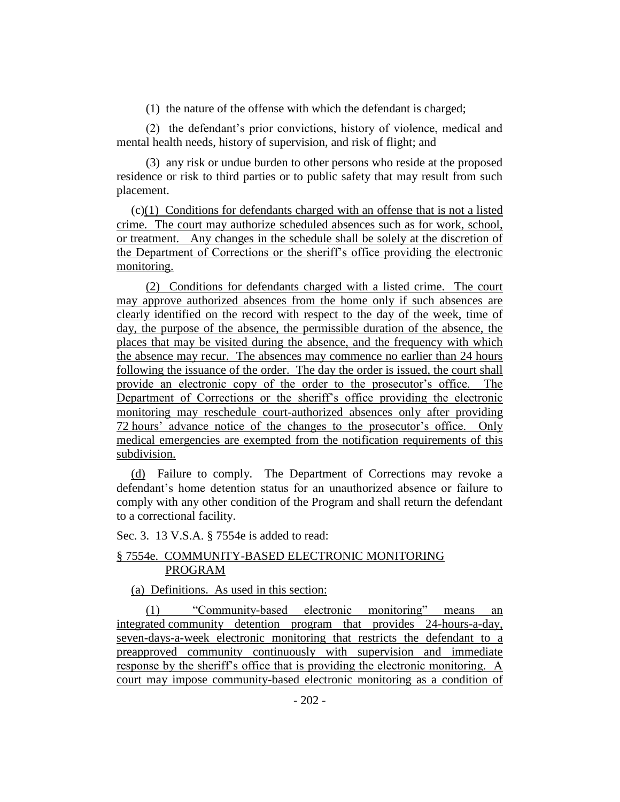(1) the nature of the offense with which the defendant is charged;

(2) the defendant's prior convictions, history of violence, medical and mental health needs, history of supervision, and risk of flight; and

(3) any risk or undue burden to other persons who reside at the proposed residence or risk to third parties or to public safety that may result from such placement.

(c)(1) Conditions for defendants charged with an offense that is not a listed crime. The court may authorize scheduled absences such as for work, school, or treatment. Any changes in the schedule shall be solely at the discretion of the Department of Corrections or the sheriff's office providing the electronic monitoring.

(2) Conditions for defendants charged with a listed crime. The court may approve authorized absences from the home only if such absences are clearly identified on the record with respect to the day of the week, time of day, the purpose of the absence, the permissible duration of the absence, the places that may be visited during the absence, and the frequency with which the absence may recur. The absences may commence no earlier than 24 hours following the issuance of the order. The day the order is issued, the court shall provide an electronic copy of the order to the prosecutor's office. The Department of Corrections or the sheriff's office providing the electronic monitoring may reschedule court-authorized absences only after providing 72 hours' advance notice of the changes to the prosecutor's office. Only medical emergencies are exempted from the notification requirements of this subdivision.

(d) Failure to comply. The Department of Corrections may revoke a defendant's home detention status for an unauthorized absence or failure to comply with any other condition of the Program and shall return the defendant to a correctional facility.

Sec. 3. 13 V.S.A. § 7554e is added to read:

#### § 7554e. COMMUNITY-BASED ELECTRONIC MONITORING PROGRAM

#### (a) Definitions. As used in this section:

(1) "Community-based electronic monitoring" means an integrated community detention program that provides 24-hours-a-day, seven-days-a-week electronic monitoring that restricts the defendant to a preapproved community continuously with supervision and immediate response by the sheriff's office that is providing the electronic monitoring. A court may impose community-based electronic monitoring as a condition of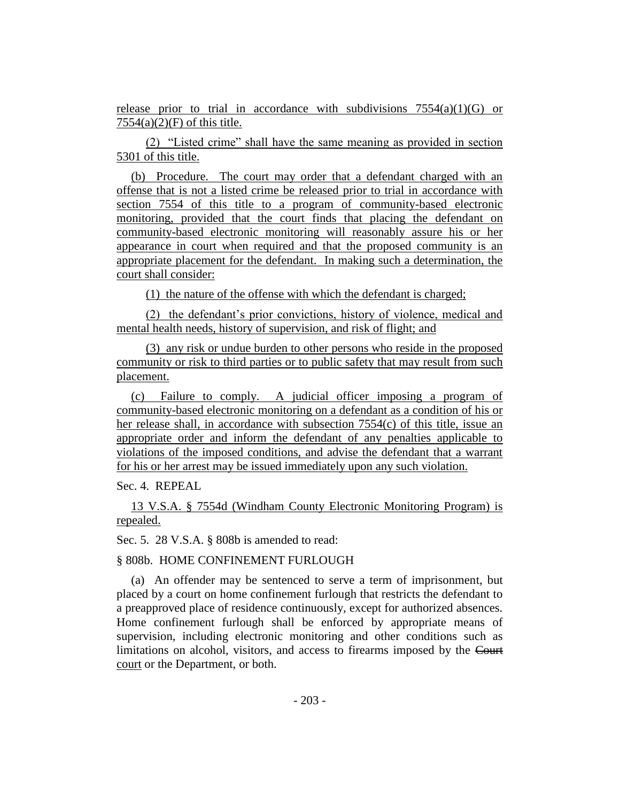release prior to trial in accordance with subdivisions  $7554(a)(1)(G)$  or  $7554(a)(2)(F)$  of this title.

(2) "Listed crime" shall have the same meaning as provided in section 5301 of this title.

(b) Procedure. The court may order that a defendant charged with an offense that is not a listed crime be released prior to trial in accordance with section 7554 of this title to a program of community-based electronic monitoring, provided that the court finds that placing the defendant on community-based electronic monitoring will reasonably assure his or her appearance in court when required and that the proposed community is an appropriate placement for the defendant. In making such a determination, the court shall consider:

(1) the nature of the offense with which the defendant is charged;

(2) the defendant's prior convictions, history of violence, medical and mental health needs, history of supervision, and risk of flight; and

(3) any risk or undue burden to other persons who reside in the proposed community or risk to third parties or to public safety that may result from such placement.

(c) Failure to comply. A judicial officer imposing a program of community-based electronic monitoring on a defendant as a condition of his or her release shall, in accordance with subsection 7554(c) of this title, issue an appropriate order and inform the defendant of any penalties applicable to violations of the imposed conditions, and advise the defendant that a warrant for his or her arrest may be issued immediately upon any such violation.

Sec. 4. REPEAL

13 V.S.A. § 7554d (Windham County Electronic Monitoring Program) is repealed.

Sec. 5. 28 V.S.A. § 808b is amended to read:

§ 808b. HOME CONFINEMENT FURLOUGH

(a) An offender may be sentenced to serve a term of imprisonment, but placed by a court on home confinement furlough that restricts the defendant to a preapproved place of residence continuously, except for authorized absences. Home confinement furlough shall be enforced by appropriate means of supervision, including electronic monitoring and other conditions such as limitations on alcohol, visitors, and access to firearms imposed by the Court court or the Department, or both.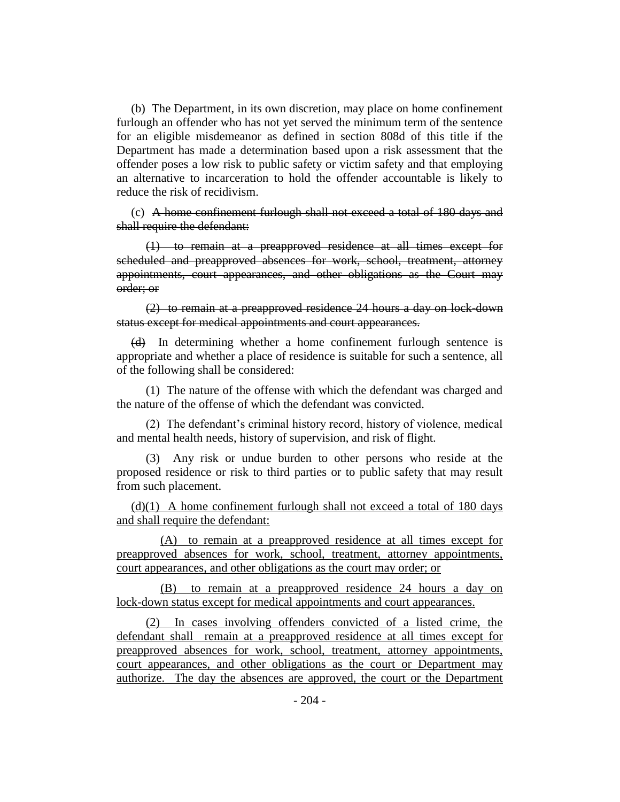(b) The Department, in its own discretion, may place on home confinement furlough an offender who has not yet served the minimum term of the sentence for an eligible misdemeanor as defined in section 808d of this title if the Department has made a determination based upon a risk assessment that the offender poses a low risk to public safety or victim safety and that employing an alternative to incarceration to hold the offender accountable is likely to reduce the risk of recidivism.

(c) A home confinement furlough shall not exceed a total of 180 days and shall require the defendant:

(1) to remain at a preapproved residence at all times except for scheduled and preapproved absences for work, school, treatment, attorney appointments, court appearances, and other obligations as the Court may order; or

(2) to remain at a preapproved residence 24 hours a day on lock-down status except for medical appointments and court appearances.

(d) In determining whether a home confinement furlough sentence is appropriate and whether a place of residence is suitable for such a sentence, all of the following shall be considered:

(1) The nature of the offense with which the defendant was charged and the nature of the offense of which the defendant was convicted.

(2) The defendant's criminal history record, history of violence, medical and mental health needs, history of supervision, and risk of flight.

(3) Any risk or undue burden to other persons who reside at the proposed residence or risk to third parties or to public safety that may result from such placement.

 $(d)(1)$  A home confinement furlough shall not exceed a total of 180 days and shall require the defendant:

(A) to remain at a preapproved residence at all times except for preapproved absences for work, school, treatment, attorney appointments, court appearances, and other obligations as the court may order; or

(B) to remain at a preapproved residence 24 hours a day on lock-down status except for medical appointments and court appearances.

(2) In cases involving offenders convicted of a listed crime, the defendant shall remain at a preapproved residence at all times except for preapproved absences for work, school, treatment, attorney appointments, court appearances, and other obligations as the court or Department may authorize. The day the absences are approved, the court or the Department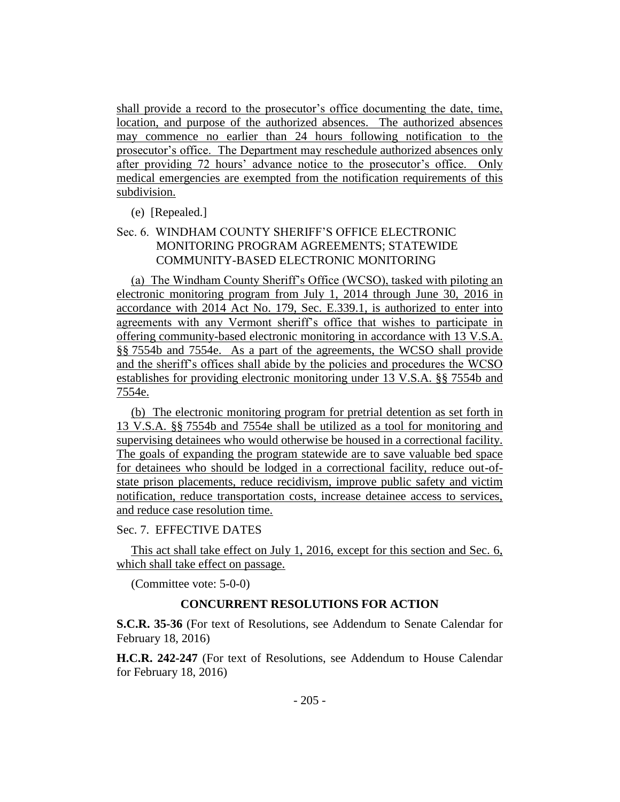shall provide a record to the prosecutor's office documenting the date, time, location, and purpose of the authorized absences. The authorized absences may commence no earlier than 24 hours following notification to the prosecutor's office. The Department may reschedule authorized absences only after providing 72 hours' advance notice to the prosecutor's office. Only medical emergencies are exempted from the notification requirements of this subdivision.

(e) [Repealed.]

## Sec. 6. WINDHAM COUNTY SHERIFF'S OFFICE ELECTRONIC MONITORING PROGRAM AGREEMENTS; STATEWIDE COMMUNITY-BASED ELECTRONIC MONITORING

(a) The Windham County Sheriff's Office (WCSO), tasked with piloting an electronic monitoring program from July 1, 2014 through June 30, 2016 in accordance with 2014 Act No. 179, Sec. E.339.1, is authorized to enter into agreements with any Vermont sheriff's office that wishes to participate in offering community-based electronic monitoring in accordance with 13 V.S.A. §§ 7554b and 7554e. As a part of the agreements, the WCSO shall provide and the sheriff's offices shall abide by the policies and procedures the WCSO establishes for providing electronic monitoring under 13 V.S.A. §§ 7554b and 7554e.

(b) The electronic monitoring program for pretrial detention as set forth in 13 V.S.A. §§ 7554b and 7554e shall be utilized as a tool for monitoring and supervising detainees who would otherwise be housed in a correctional facility. The goals of expanding the program statewide are to save valuable bed space for detainees who should be lodged in a correctional facility, reduce out-ofstate prison placements, reduce recidivism, improve public safety and victim notification, reduce transportation costs, increase detainee access to services, and reduce case resolution time.

Sec. 7. EFFECTIVE DATES

This act shall take effect on July 1, 2016, except for this section and Sec. 6, which shall take effect on passage.

(Committee vote: 5-0-0)

## **CONCURRENT RESOLUTIONS FOR ACTION**

**S.C.R. 35-36** (For text of Resolutions, see Addendum to Senate Calendar for February 18, 2016)

**H.C.R. 242-247** (For text of Resolutions, see Addendum to House Calendar for February 18, 2016)